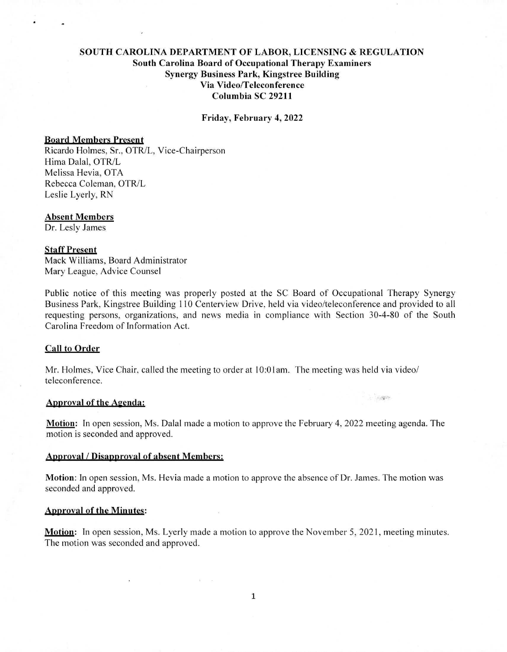# SOUTH CAROLINA DEPARTMENT OF LABOR, LICENSING & REGULATION South Carolina Board of Occupational Therapy Examiners Synergy Business Park, Kingstree Building Via Video/Teleconference Columbia SC 29211

Friday, February 4, 2022

## Board Members Present

Ricardo Holmes, Sr., OTR/L, Vice-Chairperson Hima Dalai, OTR/L Melissa Hevia, OTA Rebecca Coleman, OTR/L Leslie Lyerly, RN

#### Absent Members

Dr. Lesly James

# Staff Present

Mack Williams, Board Administrator Mary League, Advice Counsel

Public notice of this meeting was properly posted at the SC Board of Occupational Therapy Synergy Business Park, Kingstree Building 110 Centerview Drive, held via video/teleconference and provided to all requesting persons, organizations, and news media in compliance with Section 30-4-80 of the South Carolina Freedom of Information Act.

## Call to Order

Mr. Holmes, Vice Chair, called the meeting to order at 10:0 lam. The meeting was held via video/ teleconference.

#### Approval of the Agenda:

Motion: In open session, Ms. Dalai made a motion to approve the February 4, 2022 meeting agenda. The motion is seconded and approved.

 $\sim 100$ 

## Approval / Disapproval of absent Members:

Motion: In open session, Ms. Hevia made a motion to approve the absence of Dr. James. The motion was seconded and approved.

## Apnroval of the Minutes:

Motion: In open session, Ms. Lyerly made a motion to approve the November 5, 2021, meeting minutes. The motion was seconded and approved.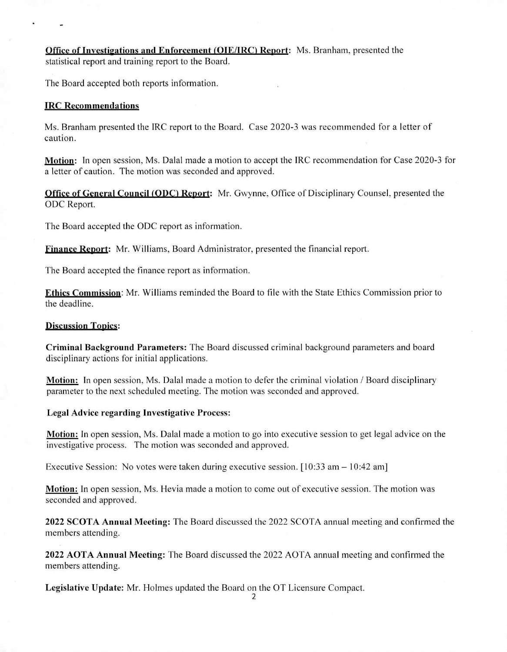Office of Investigations and Enforcement (OIE/IRC) Report: Ms. Branham, presented the statistical report and training report to the Board.

The Board accepted both reports information.

## IRC Recommendations

Ms. Branham presented the IRC report to the Board. Case 2020-3 was recommended for a letter of caution.

Motion: In open session, Ms. Dalal made a motion to accept the IRC recommendation for Case 2020-3 for a letter of caution. The motion was seconded and approved.

Office of General Council (ODC) Report: Mr. Gwynne, Office of Disciplinary Counsel, presented the ODC Report.

The Board accepted the ODC report as information.

finance Report: Mr. Williams, Board Administrator, presented the financial report.

The Board accepted the finance report as information.

Ethics Commission: Mr. Williams reminded the Board to file with the State Ethics Commission prior to the deadline.

#### **Discussion Topics:**

Criminal Background Parameters: The Board discussed criminal background parameters and board disciplinary actions for initial applications.

Motion: In open session, Ms. Dalai made a motion to defer the criminal violation / Board disciplinary parameter to the next scheduled meeting. The motion was seconded and approved.

#### Legal Advice regarding Investigative Process:

Motion: In open session, Ms. Dalal made a motion to go into executive session to get legal advice on the investigative process. The motion was seconded and approved.

Executive Session: No votes were taken during executive session. [10:33 am — 10:42 am]

Motion: In open session, Ms. Hevia made a motion to come out of executive session. The motion was seconded and approved.

2022 SCOTA Annual Meeting: The Board discussed the 2022 SCOTA annual meeting and confirmed the members attending.

2022 AOTA Annual Meeting: The Board discussed the 2022 AOTA annual meeting and confirmed the members attending.

Legislative Update: Mr. Holmes updated the Board on the OT Licensure Compact.